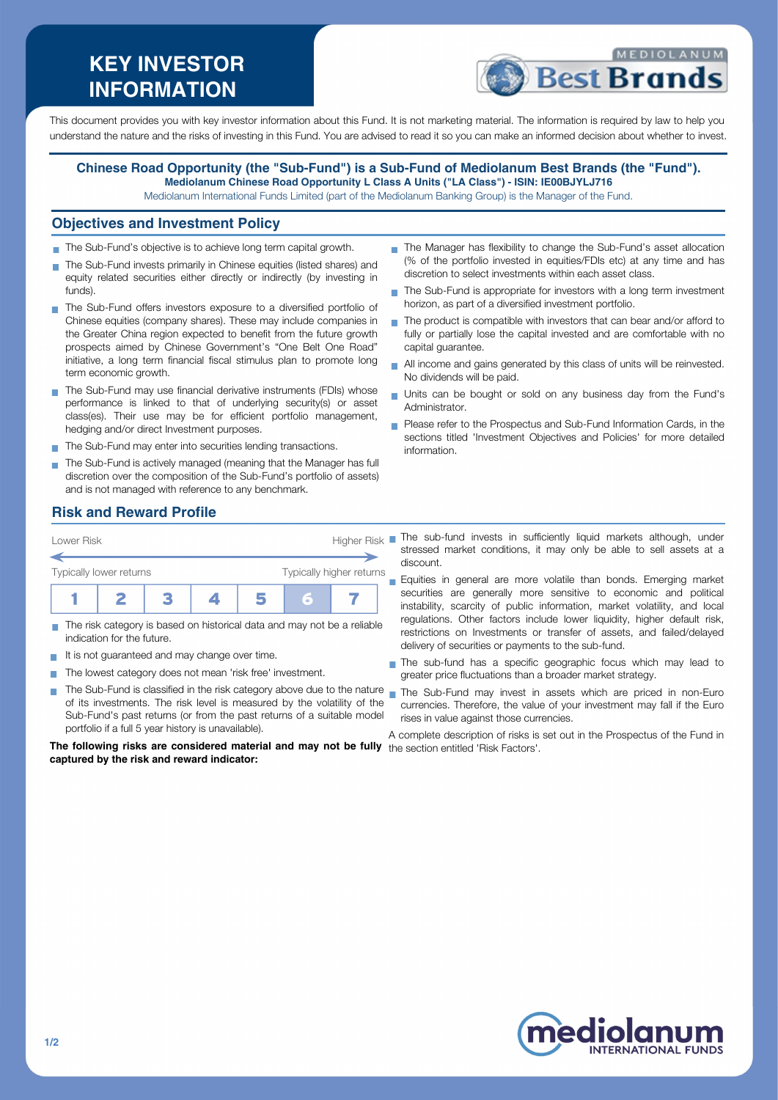# **KEY INVESTOR INFORMATION**



This document provides you with key investor information about this Fund. It is not marketing material. The information is required by law to help you understand the nature and the risks of investing in this Fund. You are advised to read it so you can make an informed decision about whether to invest.

#### **Chinese Road Opportunity (the "Sub-Fund") is a Sub-Fund of Mediolanum Best Brands (the "Fund"). Mediolanum Chinese Road Opportunity L Class A Units ("LA Class") - ISIN: IE00BJYLJ716**

Mediolanum International Funds Limited (part of the Mediolanum Banking Group) is the Manager of the Fund.

#### **Objectives and Investment Policy**

- The Sub-Fund's objective is to achieve long term capital growth.
- The Sub-Fund invests primarily in Chinese equities (listed shares) and equity related securities either directly or indirectly (by investing in funds).
- The Sub-Fund offers investors exposure to a diversified portfolio of Chinese equities (company shares). These may include companies in the Greater China region expected to benefit from the future growth prospects aimed by Chinese Government's "One Belt One Road" initiative, a long term financial fiscal stimulus plan to promote long term economic growth.
- The Sub-Fund may use financial derivative instruments (FDIs) whose performance is linked to that of underlying security(s) or asset class(es). Their use may be for efficient portfolio management, hedging and/or direct Investment purposes.
- The Sub-Fund may enter into securities lending transactions.
- The Sub-Fund is actively managed (meaning that the Manager has full discretion over the composition of the Sub-Fund's portfolio of assets) and is not managed with reference to any benchmark.
- The Manager has flexibility to change the Sub-Fund's asset allocation (% of the portfolio invested in equities/FDIs etc) at any time and has discretion to select investments within each asset class.
- The Sub-Fund is appropriate for investors with a long term investment horizon, as part of a diversified investment portfolio.
- The product is compatible with investors that can bear and/or afford to n. fully or partially lose the capital invested and are comfortable with no capital guarantee.
- All income and gains generated by this class of units will be reinvested. No dividends will be paid.
- Units can be bought or sold on any business day from the Fund's  $\overline{\phantom{a}}$ Administrator.
- Please refer to the Prospectus and Sub-Fund Information Cards, in the sections titled 'Investment Objectives and Policies' for more detailed information.

### **Risk and Reward Profile**



- The risk category is based on historical data and may not be a reliable indication for the future.
- It is not guaranteed and may change over time.
- The lowest category does not mean 'risk free' investment. m.
- The Sub-Fund is classified in the risk category above due to the nature **I** of its investments. The risk level is measured by the volatility of the Sub-Fund's past returns (or from the past returns of a suitable model portfolio if a full 5 year history is unavailable).

**The following risks are considered material and may not be fully** the section entitled 'Risk Factors'.**captured by the risk and reward indicator:**

- stressed market conditions, it may only be able to sell assets at a discount.
- Equities in general are more volatile than bonds. Emerging market  $\overline{\phantom{a}}$ securities are generally more sensitive to economic and political instability, scarcity of public information, market volatility, and local regulations. Other factors include lower liquidity, higher default risk, restrictions on Investments or transfer of assets, and failed/delayed delivery of securities or payments to the sub-fund.
- The sub-fund has a specific geographic focus which may lead to greater price fluctuations than a broader market strategy.
- The Sub-Fund may invest in assets which are priced in non-Euro currencies. Therefore, the value of your investment may fall if the Euro rises in value against those currencies.

A complete description of risks is set out in the Prospectus of the Fund in